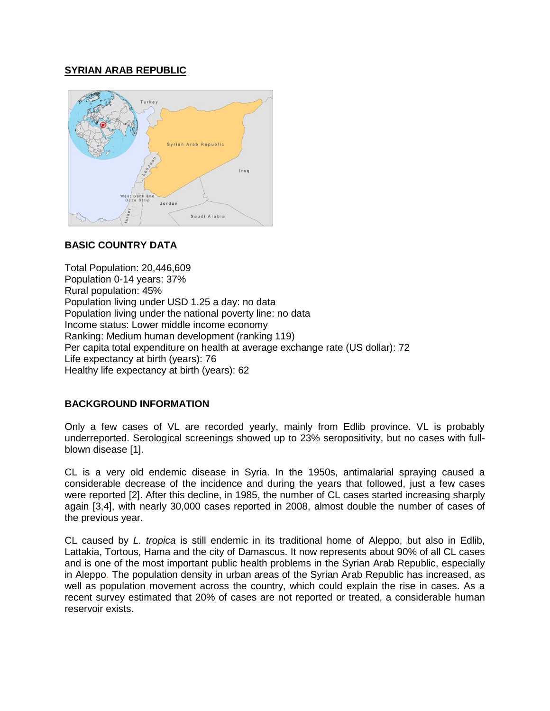# **SYRIAN ARAB REPUBLIC**



# **BASIC COUNTRY DATA**

Total Population: 20,446,609 Population 0-14 years: 37% Rural population: 45% Population living under USD 1.25 a day: no data Population living under the national poverty line: no data Income status: Lower middle income economy Ranking: Medium human development (ranking 119) Per capita total expenditure on health at average exchange rate (US dollar): 72 Life expectancy at birth (years): 76 Healthy life expectancy at birth (years): 62

## **BACKGROUND INFORMATION**

Only a few cases of VL are recorded yearly, mainly from Edlib province. VL is probably underreported. Serological screenings showed up to 23% seropositivity, but no cases with fullblown disease [1].

CL is a very old endemic disease in Syria. In the 1950s, antimalarial spraying caused a considerable decrease of the incidence and during the years that followed, just a few cases were reported [2]. After this decline, in 1985, the number of CL cases started increasing sharply again [3,4], with nearly 30,000 cases reported in 2008, almost double the number of cases of the previous year.

CL caused by *L. tropica* is still endemic in its traditional home of Aleppo, but also in Edlib, Lattakia, Tortous, Hama and the city of Damascus. It now represents about 90% of all CL cases and is one of the most important public health problems in the Syrian Arab Republic, especially in Aleppo. The population density in urban areas of the Syrian Arab Republic has increased, as well as population movement across the country, which could explain the rise in cases. As a recent survey estimated that 20% of cases are not reported or treated, a considerable human reservoir exists.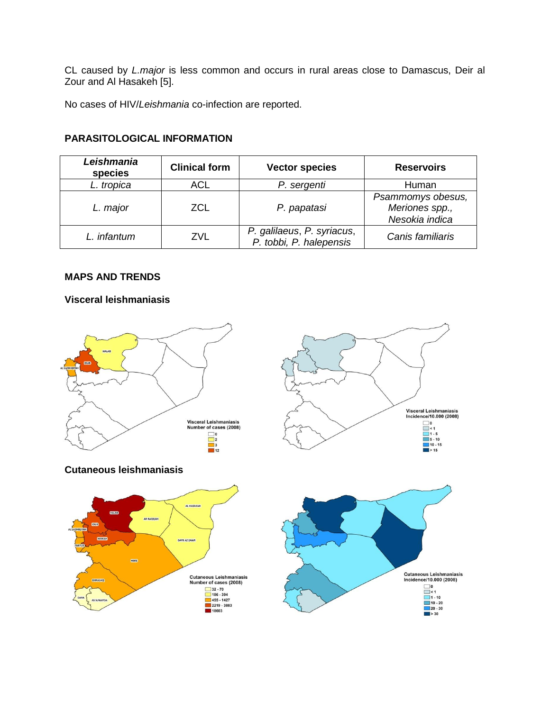CL caused by *L.major* is less common and occurs in rural areas close to Damascus, Deir al Zour and Al Hasakeh [5].

No cases of HIV/*Leishmania* co-infection are reported.

| <b>PARASITOLOGICAL INFORMATION</b> |  |
|------------------------------------|--|
|                                    |  |

| Leishmania<br>species | <b>Clinical form</b> | <b>Vector species</b>                                 | <b>Reservoirs</b>                                     |
|-----------------------|----------------------|-------------------------------------------------------|-------------------------------------------------------|
| L. tropica            | ACL                  | P. sergenti                                           | Human                                                 |
| L. major              | <b>ZCL</b>           | P. papatasi                                           | Psammomys obesus,<br>Meriones spp.,<br>Nesokia indica |
| L. infantum           | ZVL                  | P. galilaeus, P. syriacus,<br>P. tobbi, P. halepensis | Canis familiaris                                      |

## **MAPS AND TRENDS**

## **Visceral leishmaniasis**







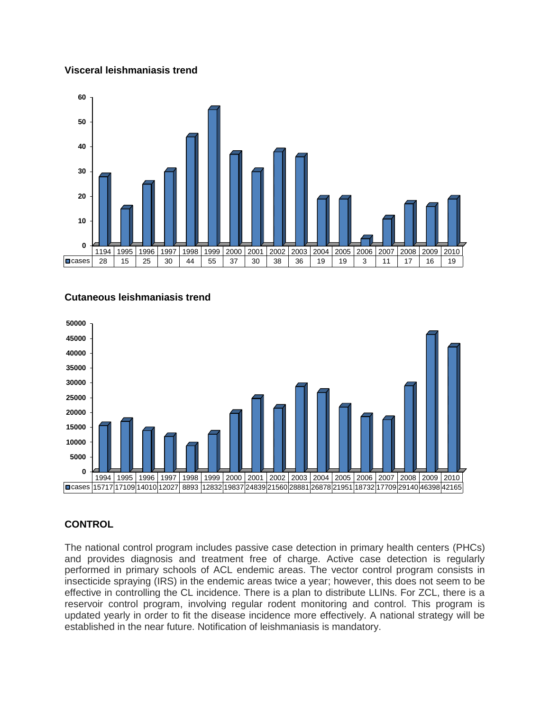#### **Visceral leishmaniasis trend**



#### **Cutaneous leishmaniasis trend**



## **CONTROL**

The national control program includes passive case detection in primary health centers (PHCs) and provides diagnosis and treatment free of charge. Active case detection is regularly performed in primary schools of ACL endemic areas. The vector control program consists in insecticide spraying (IRS) in the endemic areas twice a year; however, this does not seem to be effective in controlling the CL incidence. There is a plan to distribute LLINs. For ZCL, there is a reservoir control program, involving regular rodent monitoring and control. This program is updated yearly in order to fit the disease incidence more effectively. A national strategy will be established in the near future. Notification of leishmaniasis is mandatory.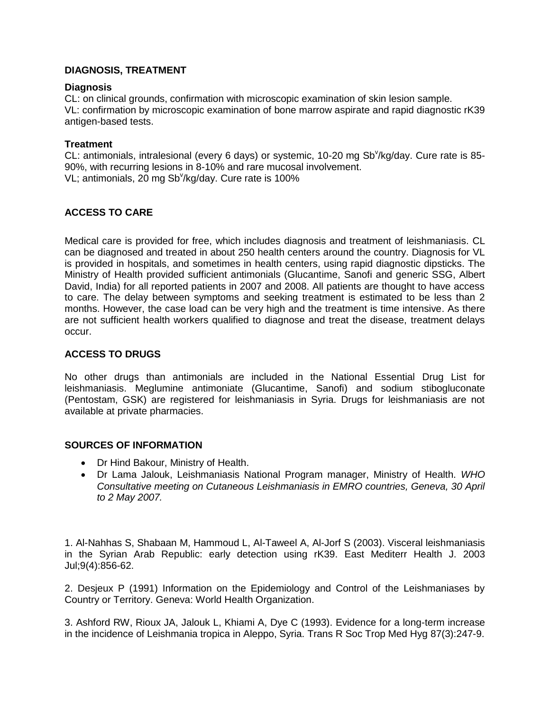## **DIAGNOSIS, TREATMENT**

## **Diagnosis**

CL: on clinical grounds, confirmation with microscopic examination of skin lesion sample. VL: confirmation by microscopic examination of bone marrow aspirate and rapid diagnostic rK39 antigen-based tests.

### **Treatment**

CL: antimonials, intralesional (every 6 days) or systemic, 10-20 mg Sb<sup>v</sup>/kg/day. Cure rate is 85-90%, with recurring lesions in 8-10% and rare mucosal involvement. VL; antimonials, 20 mg Sb<sup>v</sup>/kg/day. Cure rate is 100%

# **ACCESS TO CARE**

Medical care is provided for free, which includes diagnosis and treatment of leishmaniasis. CL can be diagnosed and treated in about 250 health centers around the country. Diagnosis for VL is provided in hospitals, and sometimes in health centers, using rapid diagnostic dipsticks. The Ministry of Health provided sufficient antimonials (Glucantime, Sanofi and generic SSG, Albert David, India) for all reported patients in 2007 and 2008. All patients are thought to have access to care. The delay between symptoms and seeking treatment is estimated to be less than 2 months. However, the case load can be very high and the treatment is time intensive. As there are not sufficient health workers qualified to diagnose and treat the disease, treatment delays occur.

#### **ACCESS TO DRUGS**

No other drugs than antimonials are included in the National Essential Drug List for leishmaniasis. Meglumine antimoniate (Glucantime, Sanofi) and sodium stibogluconate (Pentostam, GSK) are registered for leishmaniasis in Syria. Drugs for leishmaniasis are not available at private pharmacies.

#### **SOURCES OF INFORMATION**

- Dr Hind Bakour, Ministry of Health.
- Dr Lama Jalouk, Leishmaniasis National Program manager, Ministry of Health. *WHO Consultative meeting on Cutaneous Leishmaniasis in EMRO countries, Geneva, 30 April to 2 May 2007.*

1. [Al-Nahhas S,](http://www.ncbi.nlm.nih.gov/pubmed?term=%22Al-Nahhas%20S%22%5BAuthor%5D) [Shabaan M,](http://www.ncbi.nlm.nih.gov/pubmed?term=%22Shabaan%20M%22%5BAuthor%5D) [Hammoud L,](http://www.ncbi.nlm.nih.gov/pubmed?term=%22Hammoud%20L%22%5BAuthor%5D) [Al-Taweel A,](http://www.ncbi.nlm.nih.gov/pubmed?term=%22Al-Taweel%20A%22%5BAuthor%5D) [Al-Jorf S](http://www.ncbi.nlm.nih.gov/pubmed?term=%22Al-Jorf%20S%22%5BAuthor%5D) (2003). Visceral leishmaniasis in the Syrian Arab Republic: early detection using rK39. [East Mediterr Health J.](http://www.ncbi.nlm.nih.gov/pubmed/15748082##) 2003 Jul;9(4):856-62.

2. Desjeux P (1991) Information on the Epidemiology and Control of the Leishmaniases by Country or Territory. Geneva: World Health Organization.

3. [Ashford RW,](http://www.ncbi.nlm.nih.gov/pubmed?term=%22Ashford%20RW%22%5BAuthor%5D) [Rioux JA,](http://www.ncbi.nlm.nih.gov/pubmed?term=%22Rioux%20JA%22%5BAuthor%5D) [Jalouk L,](http://www.ncbi.nlm.nih.gov/pubmed?term=%22Jalouk%20L%22%5BAuthor%5D) [Khiami A,](http://www.ncbi.nlm.nih.gov/pubmed?term=%22Khiami%20A%22%5BAuthor%5D) [Dye C](http://www.ncbi.nlm.nih.gov/pubmed?term=%22Dye%20C%22%5BAuthor%5D) (1993). Evidence for a long-term increase in the incidence of Leishmania tropica in Aleppo, Syria. [Trans R Soc Trop Med Hyg 8](http://www.ncbi.nlm.nih.gov/pubmed/8236380##)7(3):247-9.